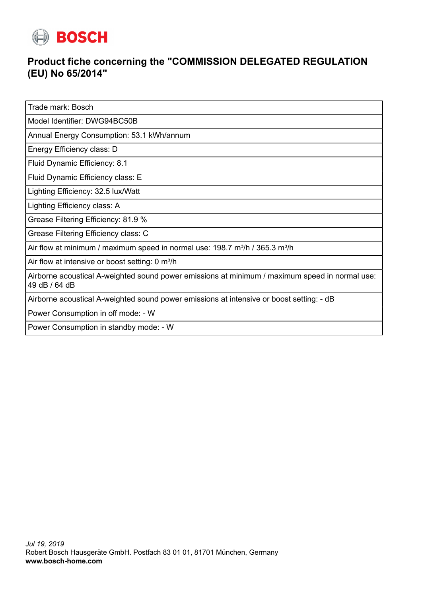

## **Product fiche concerning the "COMMISSION DELEGATED REGULATION (EU) No 65/2014"**

Trade mark: Bosch

Model Identifier: DWG94BC50B

Annual Energy Consumption: 53.1 kWh/annum

Energy Efficiency class: D

Fluid Dynamic Efficiency: 8.1

Fluid Dynamic Efficiency class: E

Lighting Efficiency: 32.5 lux/Watt

Lighting Efficiency class: A

Grease Filtering Efficiency: 81.9 %

Grease Filtering Efficiency class: C

Air flow at minimum / maximum speed in normal use:  $198.7 \text{ m}^3/\text{h}$  /  $365.3 \text{ m}^3/\text{h}$ 

Air flow at intensive or boost setting: 0 m<sup>3</sup>/h

Airborne acoustical A-weighted sound power emissions at minimum / maximum speed in normal use: 49 dB / 64 dB

Airborne acoustical A-weighted sound power emissions at intensive or boost setting: - dB

Power Consumption in off mode: - W

Power Consumption in standby mode: - W